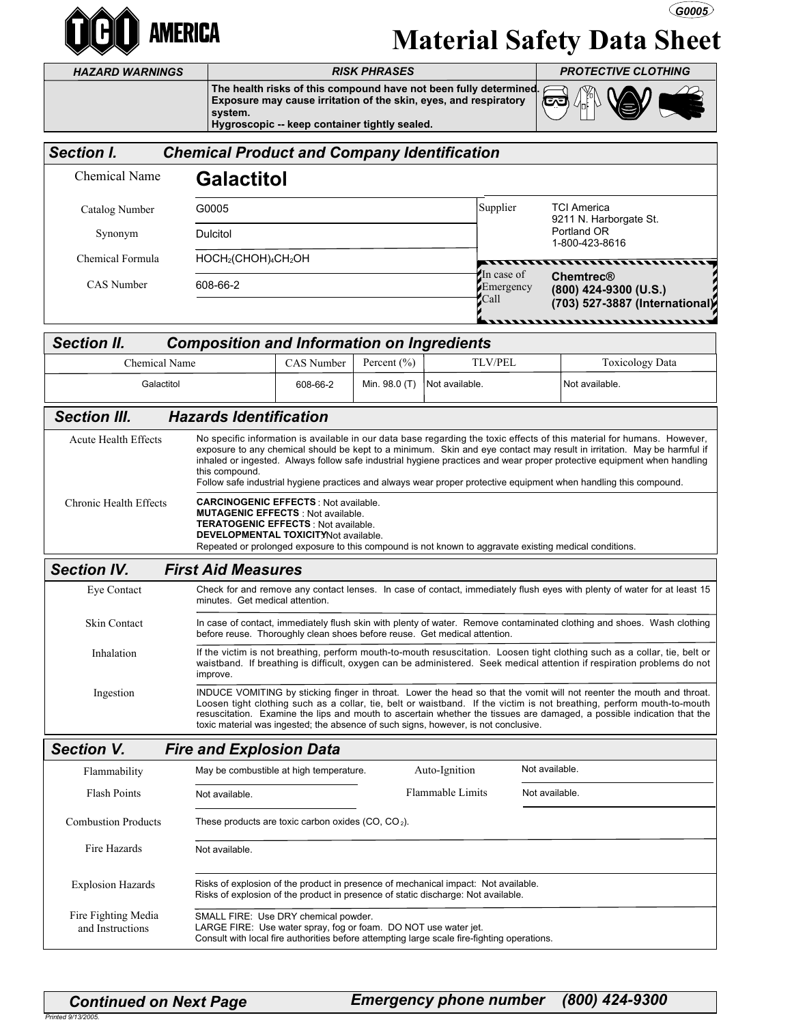

## Material Safety Data Sheet  $\bigcirc$  G0005

HAZARD WARNINGS

The health risks of this compound have not been fully determined.<br>Exposure may cause irritation of the skin, eyes, and respiratory Exposure may cause irritation of the skin, eyes, and respiratory system.



|                                                                                                           | system.                                 | Hygroscopic -- keep container tightly sealed.                                                                                                                                                                                                                                                                                                                                                                                                                                                                                                                                                                                                                                                                                                                                                                         |               |                  |                                 |                                                                             |                |
|-----------------------------------------------------------------------------------------------------------|-----------------------------------------|-----------------------------------------------------------------------------------------------------------------------------------------------------------------------------------------------------------------------------------------------------------------------------------------------------------------------------------------------------------------------------------------------------------------------------------------------------------------------------------------------------------------------------------------------------------------------------------------------------------------------------------------------------------------------------------------------------------------------------------------------------------------------------------------------------------------------|---------------|------------------|---------------------------------|-----------------------------------------------------------------------------|----------------|
| <b>Section I.</b><br><b>Chemical Product and Company Identification</b>                                   |                                         |                                                                                                                                                                                                                                                                                                                                                                                                                                                                                                                                                                                                                                                                                                                                                                                                                       |               |                  |                                 |                                                                             |                |
| <b>Chemical Name</b>                                                                                      | <b>Galactitol</b>                       |                                                                                                                                                                                                                                                                                                                                                                                                                                                                                                                                                                                                                                                                                                                                                                                                                       |               |                  |                                 |                                                                             |                |
| Catalog Number                                                                                            | G0005                                   |                                                                                                                                                                                                                                                                                                                                                                                                                                                                                                                                                                                                                                                                                                                                                                                                                       |               |                  | Supplier                        | <b>TCI America</b>                                                          |                |
| Synonym                                                                                                   | <b>Dulcitol</b>                         |                                                                                                                                                                                                                                                                                                                                                                                                                                                                                                                                                                                                                                                                                                                                                                                                                       |               |                  |                                 | 9211 N. Harborgate St.<br>Portland OR                                       | 1-800-423-8616 |
| Chemical Formula                                                                                          |                                         | $HOCH2(CHOH)4CH2OH$                                                                                                                                                                                                                                                                                                                                                                                                                                                                                                                                                                                                                                                                                                                                                                                                   |               |                  | ,,,,,,,,                        | <u>.</u>                                                                    |                |
| CAS Number                                                                                                | 608-66-2                                |                                                                                                                                                                                                                                                                                                                                                                                                                                                                                                                                                                                                                                                                                                                                                                                                                       |               |                  | In case of<br>Emergency<br>Call | <b>Chemtrec®</b><br>(800) 424-9300 (U.S.)<br>(703) 527-3887 (International) |                |
| ,,,,,,,,,,,,,,,,,,,,,,,,,,,,,,<br><b>Section II.</b><br><b>Composition and Information on Ingredients</b> |                                         |                                                                                                                                                                                                                                                                                                                                                                                                                                                                                                                                                                                                                                                                                                                                                                                                                       |               |                  |                                 |                                                                             |                |
| <b>Chemical Name</b>                                                                                      |                                         | CAS Number                                                                                                                                                                                                                                                                                                                                                                                                                                                                                                                                                                                                                                                                                                                                                                                                            | Percent (%)   |                  | <b>TLV/PEL</b>                  | <b>Toxicology Data</b>                                                      |                |
| Galactitol                                                                                                |                                         | 608-66-2                                                                                                                                                                                                                                                                                                                                                                                                                                                                                                                                                                                                                                                                                                                                                                                                              | Min. 98.0 (T) | Not available.   |                                 | Not available.                                                              |                |
| <b>Section III.</b>                                                                                       | <b>Hazards Identification</b>           |                                                                                                                                                                                                                                                                                                                                                                                                                                                                                                                                                                                                                                                                                                                                                                                                                       |               |                  |                                 |                                                                             |                |
| <b>Acute Health Effects</b><br>Chronic Health Effects                                                     |                                         | No specific information is available in our data base regarding the toxic effects of this material for humans. However,<br>exposure to any chemical should be kept to a minimum. Skin and eye contact may result in irritation. May be harmful if<br>inhaled or ingested. Always follow safe industrial hygiene practices and wear proper protective equipment when handling<br>this compound.<br>Follow safe industrial hygiene practices and always wear proper protective equipment when handling this compound.<br><b>CARCINOGENIC EFFECTS: Not available.</b><br><b>MUTAGENIC EFFECTS: Not available.</b><br><b>TERATOGENIC EFFECTS: Not available.</b><br><b>DEVELOPMENTAL TOXICITYNot available.</b><br>Repeated or prolonged exposure to this compound is not known to aggravate existing medical conditions. |               |                  |                                 |                                                                             |                |
| <b>Section IV.</b>                                                                                        | <b>First Aid Measures</b>               |                                                                                                                                                                                                                                                                                                                                                                                                                                                                                                                                                                                                                                                                                                                                                                                                                       |               |                  |                                 |                                                                             |                |
| Eye Contact                                                                                               |                                         | Check for and remove any contact lenses. In case of contact, immediately flush eyes with plenty of water for at least 15<br>minutes. Get medical attention.                                                                                                                                                                                                                                                                                                                                                                                                                                                                                                                                                                                                                                                           |               |                  |                                 |                                                                             |                |
| Skin Contact                                                                                              |                                         | In case of contact, immediately flush skin with plenty of water. Remove contaminated clothing and shoes. Wash clothing<br>before reuse. Thoroughly clean shoes before reuse. Get medical attention.                                                                                                                                                                                                                                                                                                                                                                                                                                                                                                                                                                                                                   |               |                  |                                 |                                                                             |                |
| Inhalation                                                                                                | improve.                                | If the victim is not breathing, perform mouth-to-mouth resuscitation. Loosen tight clothing such as a collar, tie, belt or<br>waistband. If breathing is difficult, oxygen can be administered. Seek medical attention if respiration problems do not                                                                                                                                                                                                                                                                                                                                                                                                                                                                                                                                                                 |               |                  |                                 |                                                                             |                |
| Ingestion                                                                                                 |                                         | INDUCE VOMITING by sticking finger in throat. Lower the head so that the vomit will not reenter the mouth and throat.<br>Loosen tight clothing such as a collar, tie, belt or waistband. If the victim is not breathing, perform mouth-to-mouth<br>resuscitation. Examine the lips and mouth to ascertain whether the tissues are damaged, a possible indication that the<br>toxic material was ingested; the absence of such signs, however, is not conclusive.                                                                                                                                                                                                                                                                                                                                                      |               |                  |                                 |                                                                             |                |
| <b>Section V.</b><br><b>Fire and Explosion Data</b>                                                       |                                         |                                                                                                                                                                                                                                                                                                                                                                                                                                                                                                                                                                                                                                                                                                                                                                                                                       |               |                  |                                 |                                                                             |                |
| Flammability                                                                                              | May be combustible at high temperature. |                                                                                                                                                                                                                                                                                                                                                                                                                                                                                                                                                                                                                                                                                                                                                                                                                       |               | Auto-Ignition    |                                 | Not available.                                                              |                |
| <b>Flash Points</b>                                                                                       | Not available.                          |                                                                                                                                                                                                                                                                                                                                                                                                                                                                                                                                                                                                                                                                                                                                                                                                                       |               | Flammable Limits |                                 | Not available.                                                              |                |
| <b>Combustion Products</b>                                                                                |                                         | These products are toxic carbon oxides $(CO, CO2)$ .                                                                                                                                                                                                                                                                                                                                                                                                                                                                                                                                                                                                                                                                                                                                                                  |               |                  |                                 |                                                                             |                |
| Fire Hazards                                                                                              | Not available.                          |                                                                                                                                                                                                                                                                                                                                                                                                                                                                                                                                                                                                                                                                                                                                                                                                                       |               |                  |                                 |                                                                             |                |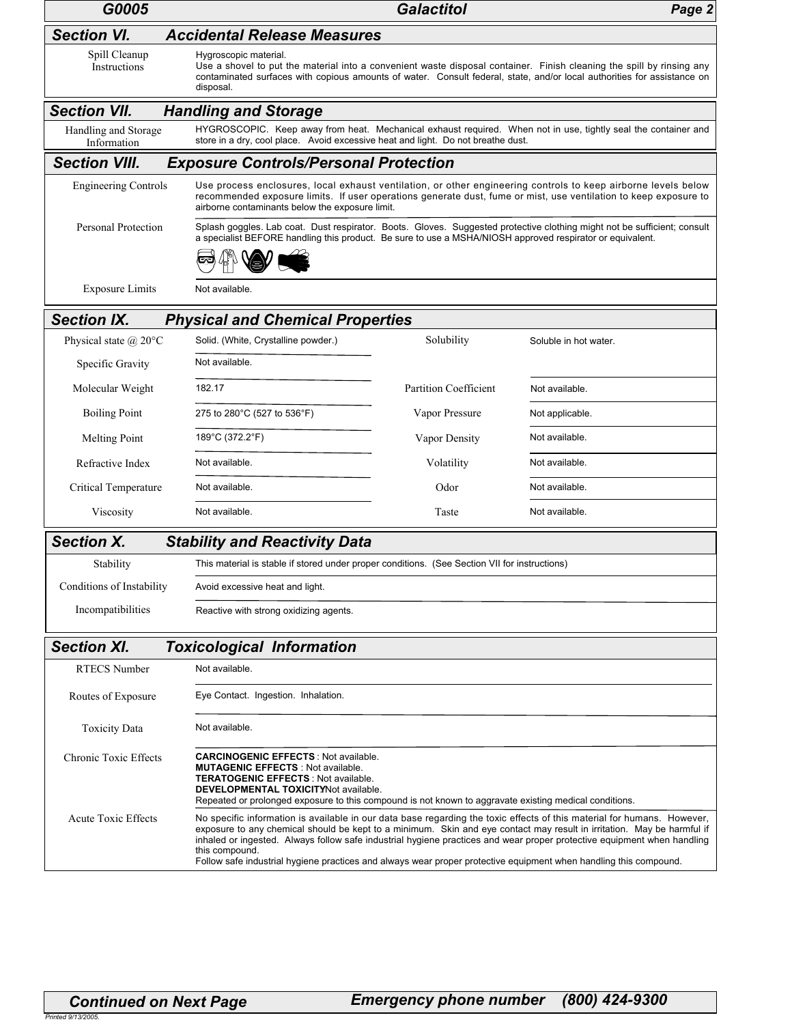| G0005                               | <b>Galactitol</b><br>Page 2                                                                                                                                                                                                                                                                    |                              |                                                                                                                                                                                                                                                                                                                                                                              |  |  |  |
|-------------------------------------|------------------------------------------------------------------------------------------------------------------------------------------------------------------------------------------------------------------------------------------------------------------------------------------------|------------------------------|------------------------------------------------------------------------------------------------------------------------------------------------------------------------------------------------------------------------------------------------------------------------------------------------------------------------------------------------------------------------------|--|--|--|
| <b>Section VI.</b>                  | <b>Accidental Release Measures</b>                                                                                                                                                                                                                                                             |                              |                                                                                                                                                                                                                                                                                                                                                                              |  |  |  |
| Spill Cleanup<br>Instructions       | Hygroscopic material.<br>Use a shovel to put the material into a convenient waste disposal container. Finish cleaning the spill by rinsing any<br>contaminated surfaces with copious amounts of water. Consult federal, state, and/or local authorities for assistance on<br>disposal.         |                              |                                                                                                                                                                                                                                                                                                                                                                              |  |  |  |
| <b>Section VII.</b>                 | <b>Handling and Storage</b>                                                                                                                                                                                                                                                                    |                              |                                                                                                                                                                                                                                                                                                                                                                              |  |  |  |
| Handling and Storage<br>Information | store in a dry, cool place. Avoid excessive heat and light. Do not breathe dust.                                                                                                                                                                                                               |                              | HYGROSCOPIC. Keep away from heat. Mechanical exhaust required. When not in use, tightly seal the container and                                                                                                                                                                                                                                                               |  |  |  |
| <b>Section VIII.</b>                | <b>Exposure Controls/Personal Protection</b>                                                                                                                                                                                                                                                   |                              |                                                                                                                                                                                                                                                                                                                                                                              |  |  |  |
| <b>Engineering Controls</b>         | Use process enclosures, local exhaust ventilation, or other engineering controls to keep airborne levels below<br>recommended exposure limits. If user operations generate dust, fume or mist, use ventilation to keep exposure to<br>airborne contaminants below the exposure limit.          |                              |                                                                                                                                                                                                                                                                                                                                                                              |  |  |  |
| <b>Personal Protection</b>          | Splash goggles. Lab coat. Dust respirator. Boots. Gloves. Suggested protective clothing might not be sufficient; consult<br>a specialist BEFORE handling this product. Be sure to use a MSHA/NIOSH approved respirator or equivalent.                                                          |                              |                                                                                                                                                                                                                                                                                                                                                                              |  |  |  |
|                                     |                                                                                                                                                                                                                                                                                                |                              |                                                                                                                                                                                                                                                                                                                                                                              |  |  |  |
| <b>Exposure Limits</b>              | Not available.                                                                                                                                                                                                                                                                                 |                              |                                                                                                                                                                                                                                                                                                                                                                              |  |  |  |
| <b>Section IX.</b>                  | <b>Physical and Chemical Properties</b>                                                                                                                                                                                                                                                        |                              |                                                                                                                                                                                                                                                                                                                                                                              |  |  |  |
| Physical state $\omega$ 20°C        | Solid. (White, Crystalline powder.)                                                                                                                                                                                                                                                            | Solubility                   | Soluble in hot water.                                                                                                                                                                                                                                                                                                                                                        |  |  |  |
| Specific Gravity                    | Not available.                                                                                                                                                                                                                                                                                 |                              |                                                                                                                                                                                                                                                                                                                                                                              |  |  |  |
| Molecular Weight                    | 182.17                                                                                                                                                                                                                                                                                         | <b>Partition Coefficient</b> | Not available.                                                                                                                                                                                                                                                                                                                                                               |  |  |  |
| <b>Boiling Point</b>                | 275 to 280°C (527 to 536°F)                                                                                                                                                                                                                                                                    | Vapor Pressure               | Not applicable.                                                                                                                                                                                                                                                                                                                                                              |  |  |  |
| <b>Melting Point</b>                | 189°C (372.2°F)                                                                                                                                                                                                                                                                                | Vapor Density                | Not available.                                                                                                                                                                                                                                                                                                                                                               |  |  |  |
| Refractive Index                    | Not available.                                                                                                                                                                                                                                                                                 | Volatility                   | Not available.                                                                                                                                                                                                                                                                                                                                                               |  |  |  |
| Critical Temperature                | Not available.                                                                                                                                                                                                                                                                                 | Odor                         | Not available.                                                                                                                                                                                                                                                                                                                                                               |  |  |  |
| Viscosity                           | Not available.                                                                                                                                                                                                                                                                                 | Taste                        | Not available.                                                                                                                                                                                                                                                                                                                                                               |  |  |  |
| <b>Section X.</b>                   | <b>Stability and Reactivity Data</b>                                                                                                                                                                                                                                                           |                              |                                                                                                                                                                                                                                                                                                                                                                              |  |  |  |
| Stability                           | This material is stable if stored under proper conditions. (See Section VII for instructions)                                                                                                                                                                                                  |                              |                                                                                                                                                                                                                                                                                                                                                                              |  |  |  |
| Conditions of Instability           | Avoid excessive heat and light.                                                                                                                                                                                                                                                                |                              |                                                                                                                                                                                                                                                                                                                                                                              |  |  |  |
| Incompatibilities                   | Reactive with strong oxidizing agents.                                                                                                                                                                                                                                                         |                              |                                                                                                                                                                                                                                                                                                                                                                              |  |  |  |
| <b>Section XI.</b>                  | <b>Toxicological Information</b>                                                                                                                                                                                                                                                               |                              |                                                                                                                                                                                                                                                                                                                                                                              |  |  |  |
| <b>RTECS Number</b>                 | Not available.                                                                                                                                                                                                                                                                                 |                              |                                                                                                                                                                                                                                                                                                                                                                              |  |  |  |
| Routes of Exposure                  | Eye Contact. Ingestion. Inhalation.                                                                                                                                                                                                                                                            |                              |                                                                                                                                                                                                                                                                                                                                                                              |  |  |  |
| <b>Toxicity Data</b>                | Not available.                                                                                                                                                                                                                                                                                 |                              |                                                                                                                                                                                                                                                                                                                                                                              |  |  |  |
| Chronic Toxic Effects               | <b>CARCINOGENIC EFFECTS: Not available.</b><br><b>MUTAGENIC EFFECTS: Not available.</b><br><b>TERATOGENIC EFFECTS: Not available.</b><br><b>DEVELOPMENTAL TOXICITYNot available.</b><br>Repeated or prolonged exposure to this compound is not known to aggravate existing medical conditions. |                              |                                                                                                                                                                                                                                                                                                                                                                              |  |  |  |
| <b>Acute Toxic Effects</b>          | this compound.<br>Follow safe industrial hygiene practices and always wear proper protective equipment when handling this compound.                                                                                                                                                            |                              | No specific information is available in our data base regarding the toxic effects of this material for humans. However,<br>exposure to any chemical should be kept to a minimum. Skin and eye contact may result in irritation. May be harmful if<br>inhaled or ingested. Always follow safe industrial hygiene practices and wear proper protective equipment when handling |  |  |  |